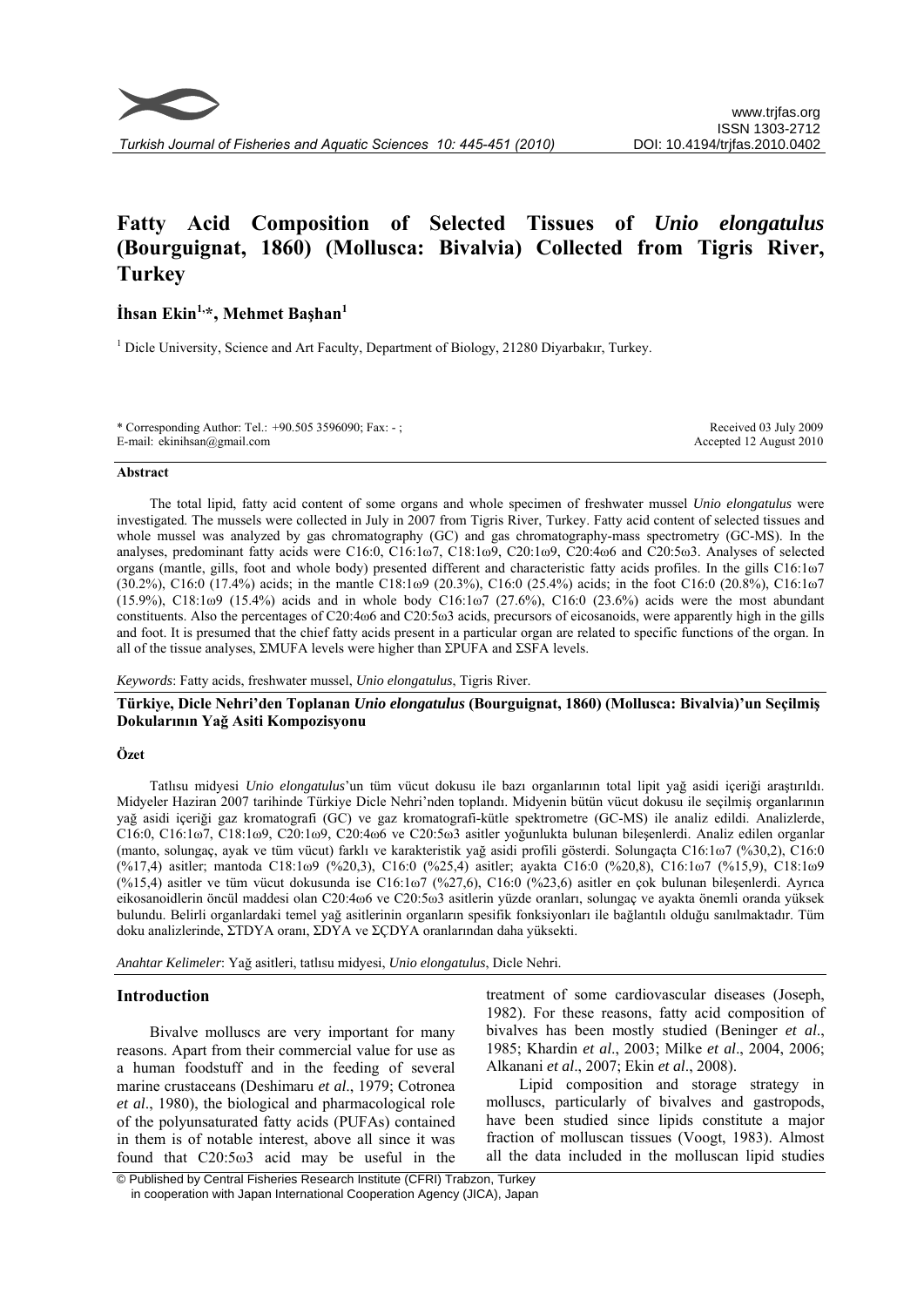

*Turkish Journal of Fisheries and Aquatic Sciences 10: 445-451 (2010)* 

# **Fatty Acid Composition of Selected Tissues of** *Unio elongatulus* **(Bourguignat, 1860) (Mollusca: Bivalvia) Collected from Tigris River, Turkey**

## **İhsan Ekin1,\*, Mehmet Başhan<sup>1</sup>**

<sup>1</sup> Dicle University, Science and Art Faculty, Department of Biology, 21280 Diyarbakır, Turkey.

| * Corresponding Author: Tel.: +90.505 3596090; Fax: -; | Received 03 July 2009   |
|--------------------------------------------------------|-------------------------|
| E-mail: ekinihsan@gmail.com                            | Accepted 12 August 2010 |

#### **Abstract**

The total lipid, fatty acid content of some organs and whole specimen of freshwater mussel *Unio elongatulus* were investigated. The mussels were collected in July in 2007 from Tigris River, Turkey. Fatty acid content of selected tissues and whole mussel was analyzed by gas chromatography (GC) and gas chromatography-mass spectrometry (GC-MS). In the analyses, predominant fatty acids were C16:0, C16:1ω7, C18:1ω9, C20:1ω9, C20:4ω6 and C20:5ω3. Analyses of selected organs (mantle, gills, foot and whole body) presented different and characteristic fatty acids profiles. In the gills C16:1ω7 (30.2%), C16:0 (17.4%) acids; in the mantle C18:1ω9 (20.3%), C16:0 (25.4%) acids; in the foot C16:0 (20.8%), C16:1ω7 (15.9%), C18:1ω9 (15.4%) acids and in whole body C16:1ω7 (27.6%), C16:0 (23.6%) acids were the most abundant constituents. Also the percentages of C20:4ω6 and C20:5ω3 acids, precursors of eicosanoids, were apparently high in the gills and foot. It is presumed that the chief fatty acids present in a particular organ are related to specific functions of the organ. In all of the tissue analyses, ΣMUFA levels were higher than ΣPUFA and ΣSFA levels.

#### *Keywords*: Fatty acids, freshwater mussel, *Unio elongatulus*, Tigris River.

**Türkiye, Dicle Nehri'den Toplanan** *Unio elongatulus* **(Bourguignat, 1860) (Mollusca: Bivalvia)'un Seçilmiş Dokularının Yağ Asiti Kompozisyonu** 

#### **Özet**

Tatlısu midyesi *Unio elongatulus*'un tüm vücut dokusu ile bazı organlarının total lipit yağ asidi içeriği araştırıldı. Midyeler Haziran 2007 tarihinde Türkiye Dicle Nehri'nden toplandı. Midyenin bütün vücut dokusu ile seçilmiş organlarının yağ asidi içeriği gaz kromatografi (GC) ve gaz kromatografi-kütle spektrometre (GC-MS) ile analiz edildi. Analizlerde, C16:0, C16:1ω7, C18:1ω9, C20:1ω9, C20:4ω6 ve C20:5ω3 asitler yoğunlukta bulunan bileşenlerdi. Analiz edilen organlar (manto, solungaç, ayak ve tüm vücut) farklı ve karakteristik yağ asidi profili gösterdi. Solungaçta C16:1ω7 (%30,2), C16:0 (%17,4) asitler; mantoda C18:1ω9 (%20,3), C16:0 (%25,4) asitler; ayakta C16:0 (%20,8), C16:1ω7 (%15,9), C18:1ω9 (%15,4) asitler ve tüm vücut dokusunda ise C16:1ω7 (%27,6), C16:0 (%23,6) asitler en çok bulunan bileşenlerdi. Ayrıca eikosanoidlerin öncül maddesi olan C20:4ω6 ve C20:5ω3 asitlerin yüzde oranları, solungaç ve ayakta önemli oranda yüksek bulundu. Belirli organlardaki temel yağ asitlerinin organların spesifik fonksiyonları ile bağlantılı olduğu sanılmaktadır. Tüm doku analizlerinde, ΣTDYA oranı, ΣDYA ve ΣÇDYA oranlarından daha yüksekti.

*Anahtar Kelimeler*: Yağ asitleri, tatlısu midyesi, *Unio elongatulus*, Dicle Nehri.

#### **Introduction**

Bivalve molluscs are very important for many reasons. Apart from their commercial value for use as a human foodstuff and in the feeding of several marine crustaceans (Deshimaru *et al*., 1979; Cotronea *et al*., 1980), the biological and pharmacological role of the polyunsaturated fatty acids (PUFAs) contained in them is of notable interest, above all since it was found that C20:5ω3 acid may be useful in the treatment of some cardiovascular diseases (Joseph, 1982). For these reasons, fatty acid composition of bivalves has been mostly studied (Beninger *et al*., 1985; Khardin *et al*., 2003; Milke *et al*., 2004, 2006; Alkanani *et al*., 2007; Ekin *et al*., 2008).

Lipid composition and storage strategy in molluscs, particularly of bivalves and gastropods, have been studied since lipids constitute a major fraction of molluscan tissues (Voogt, 1983). Almost all the data included in the molluscan lipid studies

 <sup>©</sup> Published by Central Fisheries Research Institute (CFRI) Trabzon, Turkey in cooperation with Japan International Cooperation Agency (JICA), Japan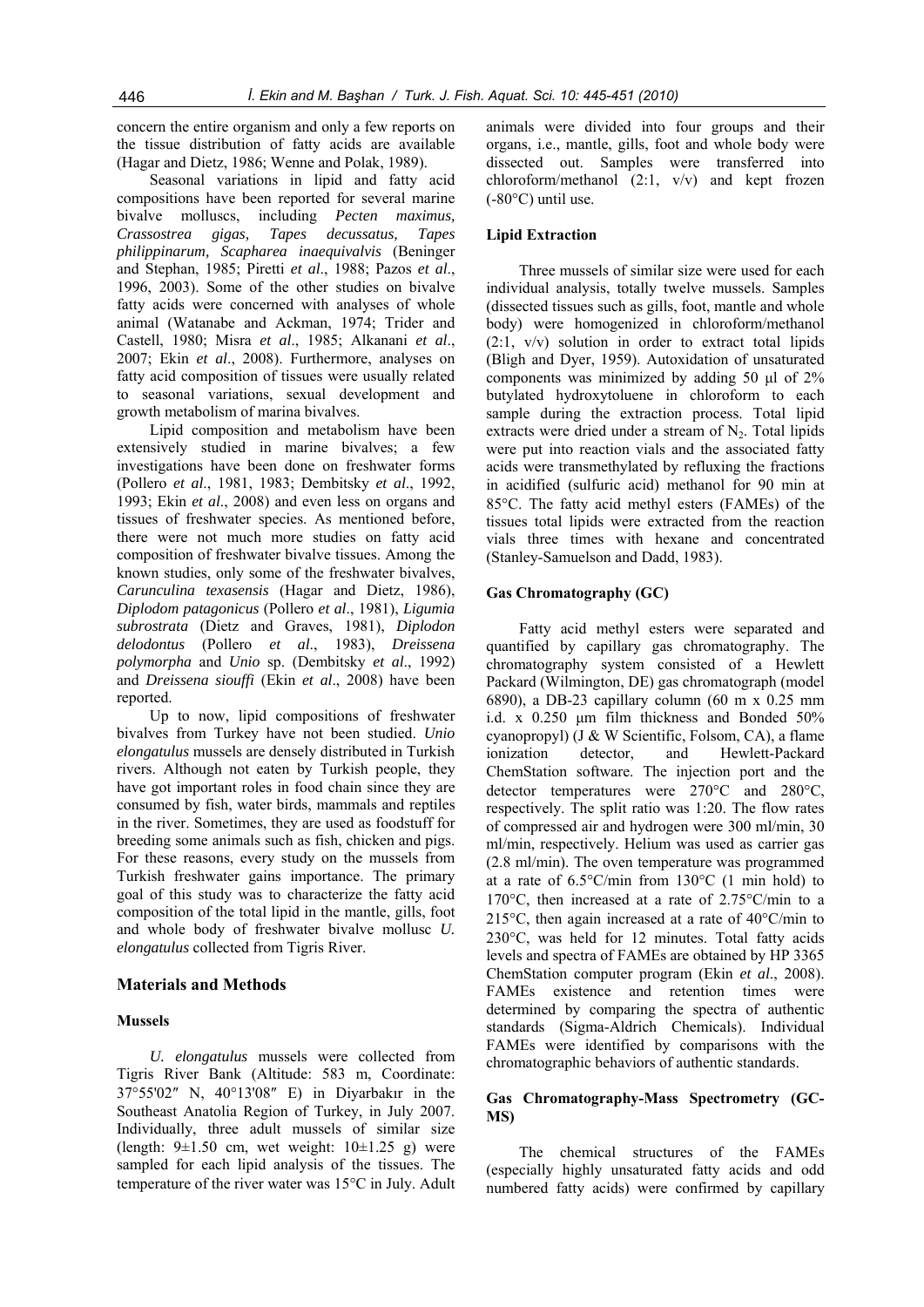## concern the entire organism and only a few reports on the tissue distribution of fatty acids are available (Hagar and Dietz, 1986; Wenne and Polak, 1989).

Seasonal variations in lipid and fatty acid compositions have been reported for several marine bivalve molluscs, including *Pecten maximus, Crassostrea gigas, Tapes decussatus, Tapes philippinarum, Scapharea inaequivalvis* (Beninger and Stephan, 1985; Piretti *et al*., 1988; Pazos *et al*., 1996, 2003). Some of the other studies on bivalve fatty acids were concerned with analyses of whole animal (Watanabe and Ackman, 1974; Trider and Castell, 1980; Misra *et al*., 1985; Alkanani *et al*., 2007; Ekin *et al*., 2008). Furthermore, analyses on fatty acid composition of tissues were usually related to seasonal variations, sexual development and growth metabolism of marina bivalves.

Lipid composition and metabolism have been extensively studied in marine bivalves; a few investigations have been done on freshwater forms (Pollero *et al*., 1981, 1983; Dembitsky *et al*., 1992, 1993; Ekin *et al*., 2008) and even less on organs and tissues of freshwater species. As mentioned before, there were not much more studies on fatty acid composition of freshwater bivalve tissues. Among the known studies, only some of the freshwater bivalves, *Carunculina texasensis* (Hagar and Dietz, 1986), *Diplodom patagonicus* (Pollero *et al*., 1981), *Ligumia subrostrata* (Dietz and Graves, 1981), *Diplodon delodontus* (Pollero *et al*., 1983), *Dreissena polymorpha* and *Unio* sp. (Dembitsky *et al*., 1992) and *Dreissena siouffi* (Ekin *et al*., 2008) have been reported.

Up to now, lipid compositions of freshwater bivalves from Turkey have not been studied. *Unio elongatulus* mussels are densely distributed in Turkish rivers. Although not eaten by Turkish people, they have got important roles in food chain since they are consumed by fish, water birds, mammals and reptiles in the river. Sometimes, they are used as foodstuff for breeding some animals such as fish, chicken and pigs. For these reasons, every study on the mussels from Turkish freshwater gains importance. The primary goal of this study was to characterize the fatty acid composition of the total lipid in the mantle, gills, foot and whole body of freshwater bivalve mollusc *U. elongatulus* collected from Tigris River.

#### **Materials and Methods**

#### **Mussels**

*U. elongatulus* mussels were collected from Tigris River Bank (Altitude: 583 m, Coordinate: 37°55'02″ N, 40°13'08″ E) in Diyarbakır in the Southeast Anatolia Region of Turkey, in July 2007. Individually, three adult mussels of similar size (length:  $9\pm 1.50$  cm, wet weight:  $10\pm 1.25$  g) were sampled for each lipid analysis of the tissues. The temperature of the river water was 15°C in July. Adult

animals were divided into four groups and their organs, i.e., mantle, gills, foot and whole body were dissected out. Samples were transferred into chloroform/methanol  $(2:1, v/v)$  and kept frozen (-80°C) until use.

#### **Lipid Extraction**

Three mussels of similar size were used for each individual analysis, totally twelve mussels. Samples (dissected tissues such as gills, foot, mantle and whole body) were homogenized in chloroform/methanol (2:1, v/v) solution in order to extract total lipids (Bligh and Dyer, 1959). Autoxidation of unsaturated components was minimized by adding 50 μl of 2% butylated hydroxytoluene in chloroform to each sample during the extraction process. Total lipid extracts were dried under a stream of  $N<sub>2</sub>$ . Total lipids were put into reaction vials and the associated fatty acids were transmethylated by refluxing the fractions in acidified (sulfuric acid) methanol for 90 min at 85°C. The fatty acid methyl esters (FAMEs) of the tissues total lipids were extracted from the reaction vials three times with hexane and concentrated (Stanley-Samuelson and Dadd, 1983).

#### **Gas Chromatography (GC)**

Fatty acid methyl esters were separated and quantified by capillary gas chromatography. The chromatography system consisted of a Hewlett Packard (Wilmington, DE) gas chromatograph (model 6890), a DB-23 capillary column (60 m x 0.25 mm i.d. x 0.250 μm film thickness and Bonded 50% cyanopropyl) (J & W Scientific, Folsom, CA), a flame ionization detector, and Hewlett-Packard ChemStation software. The injection port and the detector temperatures were 270°C and 280°C, respectively. The split ratio was 1:20. The flow rates of compressed air and hydrogen were 300 ml/min, 30 ml/min, respectively. Helium was used as carrier gas (2.8 ml/min). The oven temperature was programmed at a rate of 6.5°C/min from 130°C (1 min hold) to 170°C, then increased at a rate of 2.75°C/min to a 215°C, then again increased at a rate of 40°C/min to 230°C, was held for 12 minutes. Total fatty acids levels and spectra of FAMEs are obtained by HP 3365 ChemStation computer program (Ekin *et al*., 2008). FAMEs existence and retention times were determined by comparing the spectra of authentic standards (Sigma-Aldrich Chemicals). Individual FAMEs were identified by comparisons with the chromatographic behaviors of authentic standards.

#### **Gas Chromatography-Mass Spectrometry (GC-MS)**

The chemical structures of the FAMEs (especially highly unsaturated fatty acids and odd numbered fatty acids) were confirmed by capillary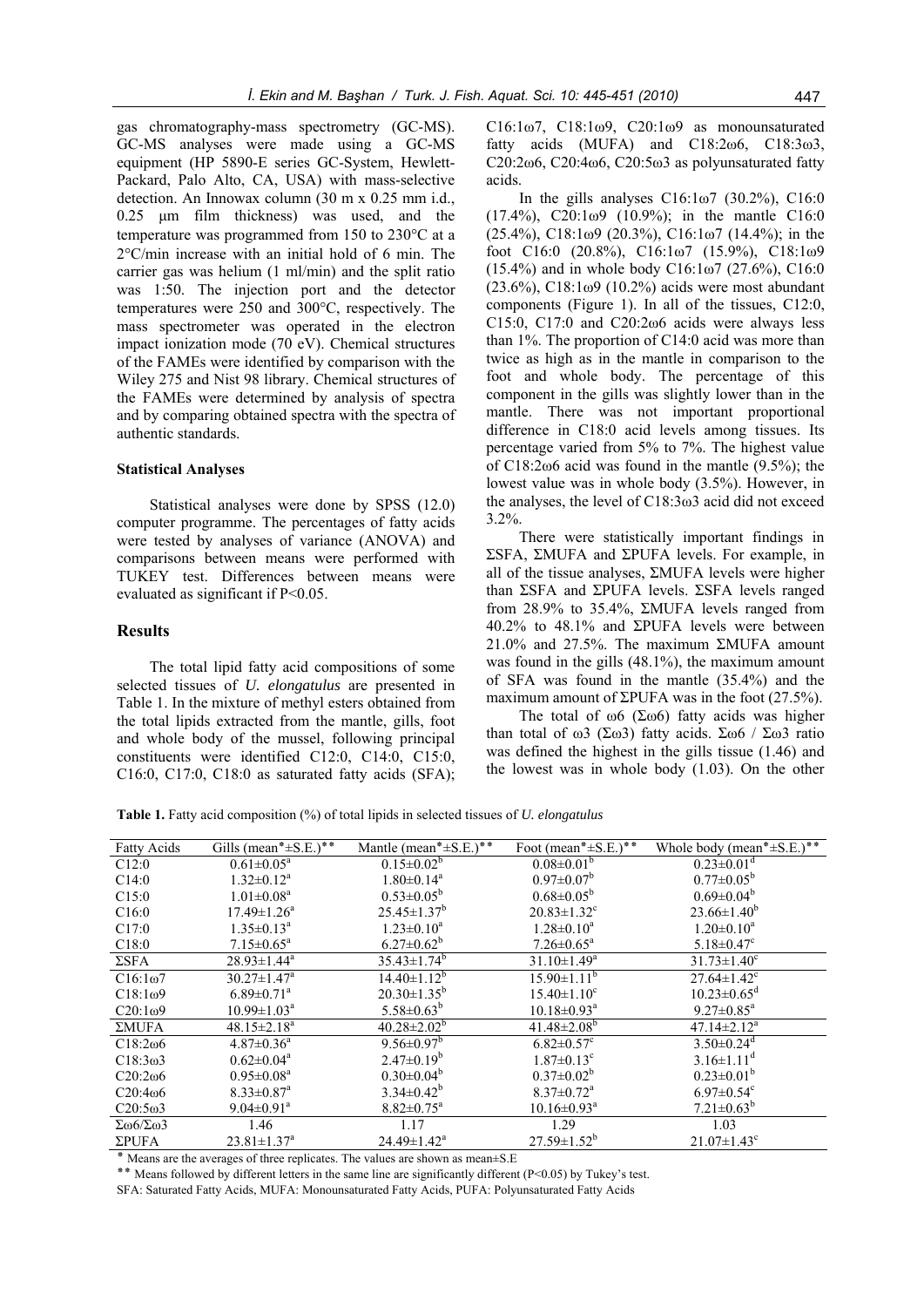gas chromatography-mass spectrometry (GC-MS). GC-MS analyses were made using a GC-MS equipment (HP 5890-E series GC-System, Hewlett-Packard, Palo Alto, CA, USA) with mass-selective detection. An Innowax column (30 m x 0.25 mm i.d., 0.25 μm film thickness) was used, and the temperature was programmed from 150 to 230°C at a 2°C/min increase with an initial hold of 6 min. The carrier gas was helium (1 ml/min) and the split ratio was 1:50. The injection port and the detector temperatures were 250 and 300°C, respectively. The mass spectrometer was operated in the electron impact ionization mode (70 eV). Chemical structures of the FAMEs were identified by comparison with the Wiley 275 and Nist 98 library. Chemical structures of the FAMEs were determined by analysis of spectra and by comparing obtained spectra with the spectra of authentic standards.

#### **Statistical Analyses**

Statistical analyses were done by SPSS (12.0) computer programme. The percentages of fatty acids were tested by analyses of variance (ANOVA) and comparisons between means were performed with TUKEY test. Differences between means were evaluated as significant if P<0.05.

#### **Results**

The total lipid fatty acid compositions of some selected tissues of *U. elongatulus* are presented in Table 1. In the mixture of methyl esters obtained from the total lipids extracted from the mantle, gills, foot and whole body of the mussel, following principal constituents were identified C12:0, C14:0, C15:0, C16:0, C17:0, C18:0 as saturated fatty acids (SFA);

C16:1ω7, C18:1ω9, C20:1ω9 as monounsaturated fatty acids (MUFA) and C18:2ω6, C18:3ω3, C20:2ω6, C20:4ω6, C20:5ω3 as polyunsaturated fatty acids.

In the gills analyses C16:1ω7 (30.2%), C16:0 (17.4%), C20:1ω9 (10.9%); in the mantle C16:0 (25.4%),  $C18:1\omega9$  (20.3%),  $C16:1\omega7$  (14.4%); in the foot C16:0 (20.8%), C16:1ω7 (15.9%), C18:1ω9 (15.4%) and in whole body C16:1ω7 (27.6%), C16:0 ( $23.6\%$ ), C18:1 $\omega$ 9 (10.2%) acids were most abundant components (Figure 1). In all of the tissues, C12:0, C15:0, C17:0 and C20:2ω6 acids were always less than 1%. The proportion of C14:0 acid was more than twice as high as in the mantle in comparison to the foot and whole body. The percentage of this component in the gills was slightly lower than in the mantle. There was not important proportional difference in C18:0 acid levels among tissues. Its percentage varied from 5% to 7%. The highest value of C18:2ω6 acid was found in the mantle (9.5%); the lowest value was in whole body (3.5%). However, in the analyses, the level of C18:3ω3 acid did not exceed 3.2%.

There were statistically important findings in ΣSFA, ΣMUFA and ΣPUFA levels. For example, in all of the tissue analyses, ΣMUFA levels were higher than ΣSFA and ΣPUFA levels. ΣSFA levels ranged from 28.9% to 35.4%, ΣMUFA levels ranged from 40.2% to 48.1% and ΣPUFA levels were between 21.0% and 27.5%. The maximum ΣMUFA amount was found in the gills (48.1%), the maximum amount of SFA was found in the mantle (35.4%) and the maximum amount of  $\Sigma$ PUFA was in the foot (27.5%).

The total of  $\omega$ 6 (Σω6) fatty acids was higher than total of ω3 (Σω3) fatty acids. Σω6 / Σω3 ratio was defined the highest in the gills tissue (1.46) and the lowest was in whole body (1.03). On the other

**Table 1.** Fatty acid composition (%) of total lipids in selected tissues of *U. elongatulus* 

| <b>Fatty Acids</b>                | Gills (mean* $\pm$ S.E.)**    | Mantle (mean*±S.E.)**         | Foot (mean*±S.E.)**           | Whole body (mean* $\pm$ S.E.)** |
|-----------------------------------|-------------------------------|-------------------------------|-------------------------------|---------------------------------|
| C12:0                             | $0.61 \pm 0.05^a$             | $0.15 \pm 0.02^b$             | $0.08 \pm 0.01^b$             | $0.23 \pm 0.01$ <sup>d</sup>    |
| C14:0                             | $1.32 \pm 0.12^a$             | $1.80 \pm 0.14$ <sup>a</sup>  | $0.97 \pm 0.07^b$             | $0.77 \pm 0.05^b$               |
| C15:0                             | $1.01 \pm 0.08$ <sup>a</sup>  | $0.53 \pm 0.05^b$             | $0.68 \pm 0.05^b$             | $0.69 \pm 0.04^b$               |
| C16:0                             | $17.49 \pm 1.26^a$            | $25.45 \pm 1.37^b$            | $20.83 \pm 1.32$ <sup>c</sup> | $23.66 \pm 1.40^b$              |
| C17:0                             | $1.35 \pm 0.13^a$             | $1.23 \pm 0.10^a$             | $1.28 \pm 0.10^a$             | $1.20 \pm 0.10^a$               |
| C18:0                             | $7.15 \pm 0.65^a$             | $6.27 \pm 0.62^b$             | $7.26 \pm 0.65^{\text{a}}$    | $5.18 \pm 0.47$ °               |
| $\Sigma$ SFA                      | $28.93 \pm 1.44$ <sup>a</sup> | $35.43 \pm 1.74$ <sup>b</sup> | $31.10 \pm 1.49^a$            | $31.73 \pm 1.40^c$              |
| $C16:1\omega$                     | $30.27 \pm 1.47$ <sup>a</sup> | $14.40 \pm 1.12^b$            | $15.90\pm1.11^{\rm b}$        | $27.64 \pm 1.42$ <sup>c</sup>   |
| C18:1 <sub>0</sub> 9              | $6.89 \pm 0.71$ <sup>a</sup>  | $20.30 \pm 1.35^b$            | $15.40 \pm 1.10^c$            | $10.23 \pm 0.65$ <sup>d</sup>   |
| $C20:1\omega$ 9                   | $10.99 \pm 1.03^{\text{a}}$   | 5.58 $\pm$ 0.63 <sup>b</sup>  | $10.18 \pm 0.93$ <sup>a</sup> | $9.27 \pm 0.85^{\text{a}}$      |
| ΣMUFA                             | $48.15 \pm 2.18^a$            | $40.28 \pm 2.02^b$            | $41.48 \pm 2.08^b$            | $47.14 \pm 2.12^a$              |
| C18:206                           | $4.87 \pm 0.36$ <sup>a</sup>  | $9.56 \pm 0.97^b$             | $6.82 \pm 0.57$ °             | $3.50 \pm 0.24$ <sup>d</sup>    |
| C18:3 <sub>0</sub> 3              | $0.62 \pm 0.04^a$             | $2.47 \pm 0.19^b$             | $1.87 \pm 0.13$ <sup>c</sup>  | $3.16 \pm 1.11$ <sup>d</sup>    |
| C20:2 <sub>0</sub> 6              | $0.95 \pm 0.08^a$             | $0.30 \pm 0.04^b$             | $0.37 \pm 0.02^b$             | $0.23 \pm 0.01^b$               |
| C20:406                           | $8.33 \pm 0.87$ <sup>a</sup>  | $3.34 \pm 0.42^b$             | $8.37 \pm 0.72$ <sup>a</sup>  | $6.97 \pm 0.54$ <sup>c</sup>    |
| C20:503                           | $9.04 \pm 0.91$ <sup>a</sup>  | $8.82 \pm 0.75^{\text{a}}$    | $10.16 \pm 0.93$ <sup>a</sup> | $7.21 \pm 0.63^b$               |
| $\Sigma \omega 6/\Sigma \omega 3$ | 1.46                          | 1.17                          | 1.29                          | 1.03                            |
| $\Sigma$ PUFA                     | $23.81 \pm 1.37$ <sup>a</sup> | $24.49 \pm 1.42^a$            | $27.59 \pm 1.52^b$            | $21.07 \pm 1.43$ <sup>c</sup>   |

٭ Means are the averages of three replicates. The values are shown as mean±S.E

٭٭ Means followed by different letters in the same line are significantly different (P<0.05) by Tukey's test.

SFA: Saturated Fatty Acids, MUFA: Monounsaturated Fatty Acids, PUFA: Polyunsaturated Fatty Acids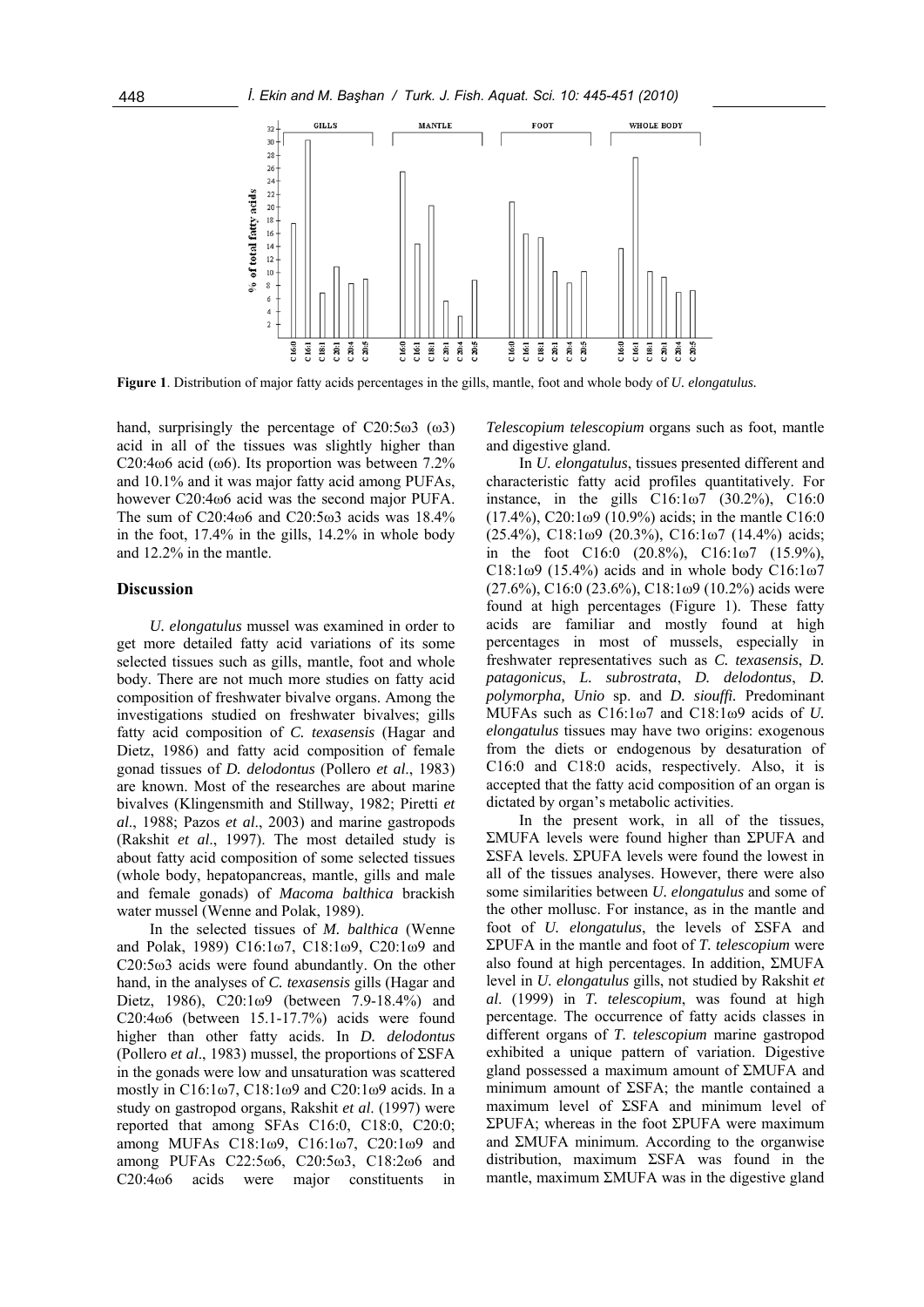

**Figure 1**. Distribution of major fatty acids percentages in the gills, mantle, foot and whole body of *U. elongatulus.*

hand, surprisingly the percentage of C20:5ω3 (ω3) acid in all of the tissues was slightly higher than C20:4 $\omega$ 6 acid ( $\omega$ 6). Its proportion was between 7.2% and 10.1% and it was major fatty acid among PUFAs, however C20:4ω6 acid was the second major PUFA. The sum of C20:4ω6 and C20:5ω3 acids was 18.4% in the foot, 17.4% in the gills, 14.2% in whole body and 12.2% in the mantle.

### **Discussion**

*U. elongatulus* mussel was examined in order to get more detailed fatty acid variations of its some selected tissues such as gills, mantle, foot and whole body. There are not much more studies on fatty acid composition of freshwater bivalve organs. Among the investigations studied on freshwater bivalves; gills fatty acid composition of *C. texasensis* (Hagar and Dietz, 1986) and fatty acid composition of female gonad tissues of *D. delodontus* (Pollero *et al*., 1983) are known. Most of the researches are about marine bivalves (Klingensmith and Stillway, 1982; Piretti *et al*., 1988; Pazos *et al*., 2003) and marine gastropods (Rakshit *et al*., 1997). The most detailed study is about fatty acid composition of some selected tissues (whole body, hepatopancreas, mantle, gills and male and female gonads) of *Macoma balthica* brackish water mussel (Wenne and Polak, 1989).

In the selected tissues of *M. balthica* (Wenne and Polak, 1989) C16:1ω7, C18:1ω9, C20:1ω9 and C20:5ω3 acids were found abundantly. On the other hand, in the analyses of *C. texasensis* gills (Hagar and Dietz, 1986), C20:1ω9 (between 7.9-18.4%) and C20:4ω6 (between 15.1-17.7%) acids were found higher than other fatty acids. In *D. delodontus*  (Pollero *et al*., 1983) mussel, the proportions of ΣSFA in the gonads were low and unsaturation was scattered mostly in C16:1ω7, C18:1ω9 and C20:1ω9 acids. In a study on gastropod organs, Rakshit *et al*. (1997) were reported that among SFAs C16:0, C18:0, C20:0; among MUFAs C18:1ω9, C16:1ω7, C20:1ω9 and among PUFAs C22:5ω6, C20:5ω3, C18:2ω6 and C<sub>20</sub>:4ω6 acids were major constituents in

*Telescopium telescopium* organs such as foot, mantle and digestive gland.

In *U. elongatulus*, tissues presented different and characteristic fatty acid profiles quantitatively. For instance, in the gills C16:1ω7 (30.2%), C16:0 (17.4%), C20:1ω9 (10.9%) acids; in the mantle C16:0 (25.4%), C18:1ω9 (20.3%), C16:1ω7 (14.4%) acids; in the foot C16:0  $(20.8\%)$ , C16:1 $\omega$ 7  $(15.9\%)$ , C18:1ω9 (15.4%) acids and in whole body C16:1ω7  $(27.6\%)$ , C16:0  $(23.6\%)$ , C18:1 $\omega$ 9  $(10.2\%)$  acids were found at high percentages (Figure 1). These fatty acids are familiar and mostly found at high percentages in most of mussels, especially in freshwater representatives such as *C. texasensis*, *D. patagonicus*, *L. subrostrata*, *D. delodontus*, *D. polymorpha, Unio* sp. and *D. siouffi.* Predominant MUFAs such as C16:1ω7 and C18:1ω9 acids of *U. elongatulus* tissues may have two origins: exogenous from the diets or endogenous by desaturation of C16:0 and C18:0 acids, respectively. Also, it is accepted that the fatty acid composition of an organ is dictated by organ's metabolic activities.

In the present work, in all of the tissues, ΣMUFA levels were found higher than ΣPUFA and ΣSFA levels. ΣPUFA levels were found the lowest in all of the tissues analyses. However, there were also some similarities between *U. elongatulus* and some of the other mollusc. For instance, as in the mantle and foot of *U. elongatulus*, the levels of ΣSFA and ΣPUFA in the mantle and foot of *T. telescopium* were also found at high percentages. In addition, ΣMUFA level in *U. elongatulus* gills, not studied by Rakshit *et al*. (1999) in *T. telescopium*, was found at high percentage. The occurrence of fatty acids classes in different organs of *T. telescopium* marine gastropod exhibited a unique pattern of variation. Digestive gland possessed a maximum amount of ΣMUFA and minimum amount of ΣSFA; the mantle contained a maximum level of ΣSFA and minimum level of ΣPUFA; whereas in the foot ΣPUFA were maximum and ΣMUFA minimum. According to the organwise distribution, maximum ΣSFA was found in the mantle, maximum ΣMUFA was in the digestive gland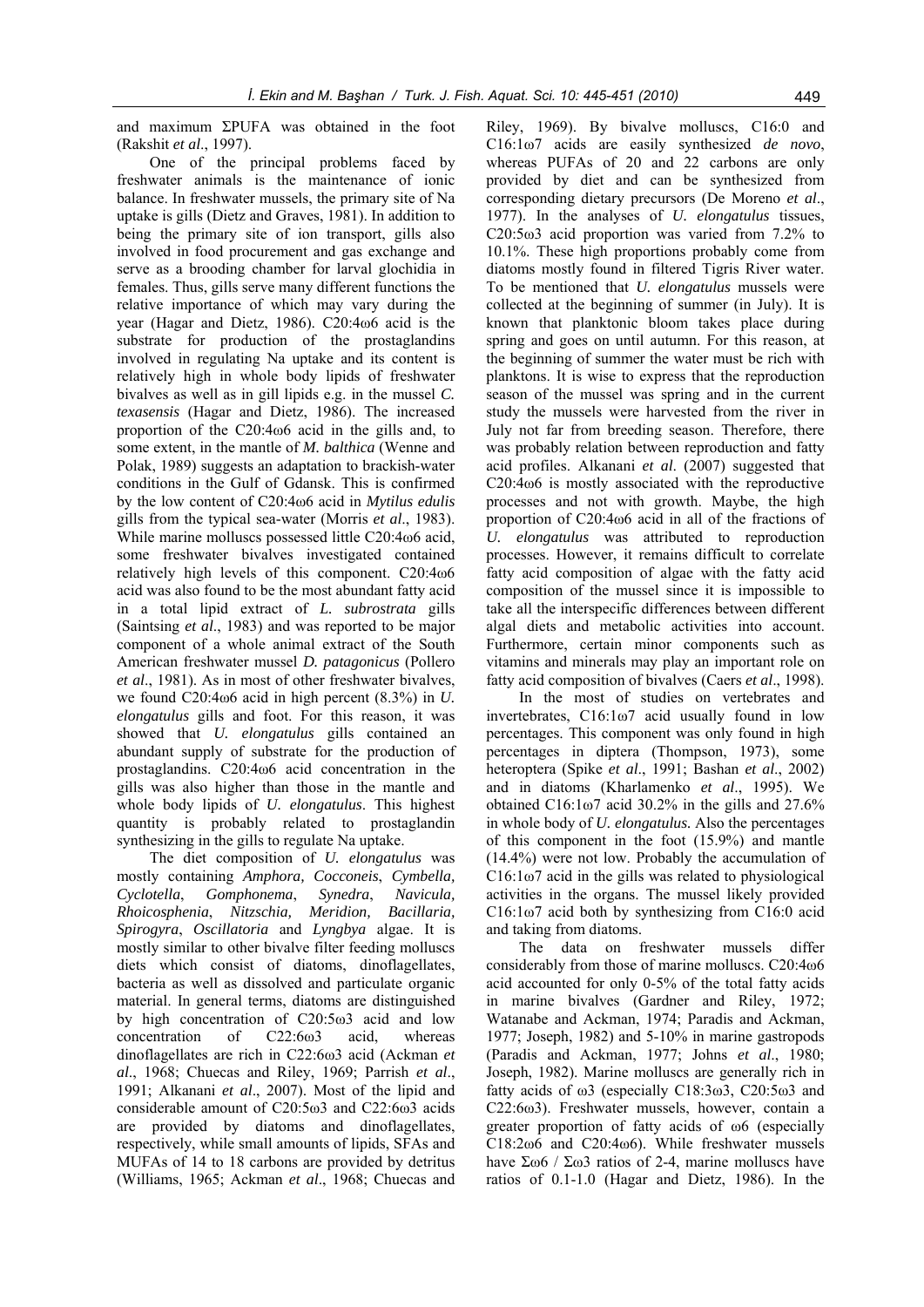and maximum ΣPUFA was obtained in the foot (Rakshit *et al*., 1997).

One of the principal problems faced by freshwater animals is the maintenance of ionic balance. In freshwater mussels, the primary site of Na uptake is gills (Dietz and Graves, 1981). In addition to being the primary site of ion transport, gills also involved in food procurement and gas exchange and serve as a brooding chamber for larval glochidia in females. Thus, gills serve many different functions the relative importance of which may vary during the year (Hagar and Dietz, 1986). C20:4ω6 acid is the substrate for production of the prostaglandins involved in regulating Na uptake and its content is relatively high in whole body lipids of freshwater bivalves as well as in gill lipids e.g. in the mussel *C. texasensis* (Hagar and Dietz, 1986). The increased proportion of the C20:4ω6 acid in the gills and, to some extent, in the mantle of *M. balthica* (Wenne and Polak, 1989) suggests an adaptation to brackish-water conditions in the Gulf of Gdansk. This is confirmed by the low content of C20:4ω6 acid in *Mytilus edulis* gills from the typical sea-water (Morris *et al*., 1983). While marine molluscs possessed little C20:4ω6 acid, some freshwater bivalves investigated contained relatively high levels of this component. C20:4ω6 acid was also found to be the most abundant fatty acid in a total lipid extract of *L. subrostrata* gills (Saintsing *et al*., 1983) and was reported to be major component of a whole animal extract of the South American freshwater mussel *D. patagonicus* (Pollero *et al*., 1981). As in most of other freshwater bivalves, we found C20:4ω6 acid in high percent (8.3%) in *U. elongatulus* gills and foot. For this reason, it was showed that *U. elongatulus* gills contained an abundant supply of substrate for the production of prostaglandins. C20:4ω6 acid concentration in the gills was also higher than those in the mantle and whole body lipids of *U. elongatulus*. This highest quantity is probably related to prostaglandin synthesizing in the gills to regulate Na uptake.

The diet composition of *U. elongatulus* was mostly containing *Amphora, Cocconeis*, *Cymbella, Cyclotella*, *Gomphonema*, *Synedra*, *Navicula, Rhoicosphenia*, *Nitzschia, Meridion, Bacillaria, Spirogyra*, *Oscillatoria* and *Lyngbya* algae. It is mostly similar to other bivalve filter feeding molluscs diets which consist of diatoms, dinoflagellates, bacteria as well as dissolved and particulate organic material. In general terms, diatoms are distinguished by high concentration of C20:5ω3 acid and low concentration of C22:6ω3 acid, whereas dinoflagellates are rich in C22:6ω3 acid (Ackman *et al*., 1968; Chuecas and Riley, 1969; Parrish *et al*., 1991; Alkanani *et al*., 2007). Most of the lipid and considerable amount of C20:5ω3 and C22:6ω3 acids are provided by diatoms and dinoflagellates, respectively, while small amounts of lipids, SFAs and MUFAs of 14 to 18 carbons are provided by detritus (Williams, 1965; Ackman *et al*., 1968; Chuecas and

Riley, 1969). By bivalve molluscs, C16:0 and C16:1ω7 acids are easily synthesized *de novo*, whereas PUFAs of 20 and 22 carbons are only provided by diet and can be synthesized from corresponding dietary precursors (De Moreno *et al*., 1977). In the analyses of *U. elongatulus* tissues, C20:5ω3 acid proportion was varied from 7.2% to 10.1%. These high proportions probably come from diatoms mostly found in filtered Tigris River water. To be mentioned that *U. elongatulus* mussels were collected at the beginning of summer (in July). It is known that planktonic bloom takes place during spring and goes on until autumn. For this reason, at the beginning of summer the water must be rich with planktons. It is wise to express that the reproduction season of the mussel was spring and in the current study the mussels were harvested from the river in July not far from breeding season. Therefore, there was probably relation between reproduction and fatty acid profiles. Alkanani *et al*. (2007) suggested that C20:4ω6 is mostly associated with the reproductive processes and not with growth. Maybe, the high proportion of C20:4ω6 acid in all of the fractions of *U. elongatulus* was attributed to reproduction processes. However, it remains difficult to correlate fatty acid composition of algae with the fatty acid composition of the mussel since it is impossible to take all the interspecific differences between different algal diets and metabolic activities into account. Furthermore, certain minor components such as vitamins and minerals may play an important role on fatty acid composition of bivalves (Caers *et al*., 1998).

In the most of studies on vertebrates and invertebrates, C16:1ω7 acid usually found in low percentages. This component was only found in high percentages in diptera (Thompson, 1973), some heteroptera (Spike *et al*., 1991; Bashan *et al*., 2002) and in diatoms (Kharlamenko *et al*., 1995). We obtained C16:1ω7 acid 30.2% in the gills and 27.6% in whole body of *U. elongatulus.* Also the percentages of this component in the foot (15.9%) and mantle (14.4%) were not low. Probably the accumulation of C16:1ω7 acid in the gills was related to physiological activities in the organs. The mussel likely provided C16:1ω7 acid both by synthesizing from C16:0 acid and taking from diatoms.

The data on freshwater mussels differ considerably from those of marine molluscs. C20:4ω6 acid accounted for only 0-5% of the total fatty acids in marine bivalves (Gardner and Riley, 1972; Watanabe and Ackman, 1974; Paradis and Ackman, 1977; Joseph, 1982) and 5-10% in marine gastropods (Paradis and Ackman, 1977; Johns *et al*., 1980; Joseph, 1982). Marine molluscs are generally rich in fatty acids of ω3 (especially C18:3ω3, C20:5ω3 and C22:6ω3). Freshwater mussels, however, contain a greater proportion of fatty acids of ω6 (especially C18:2ω6 and C20:4ω6). While freshwater mussels have Σω6 / Σω3 ratios of 2-4, marine molluscs have ratios of 0.1-1.0 (Hagar and Dietz, 1986). In the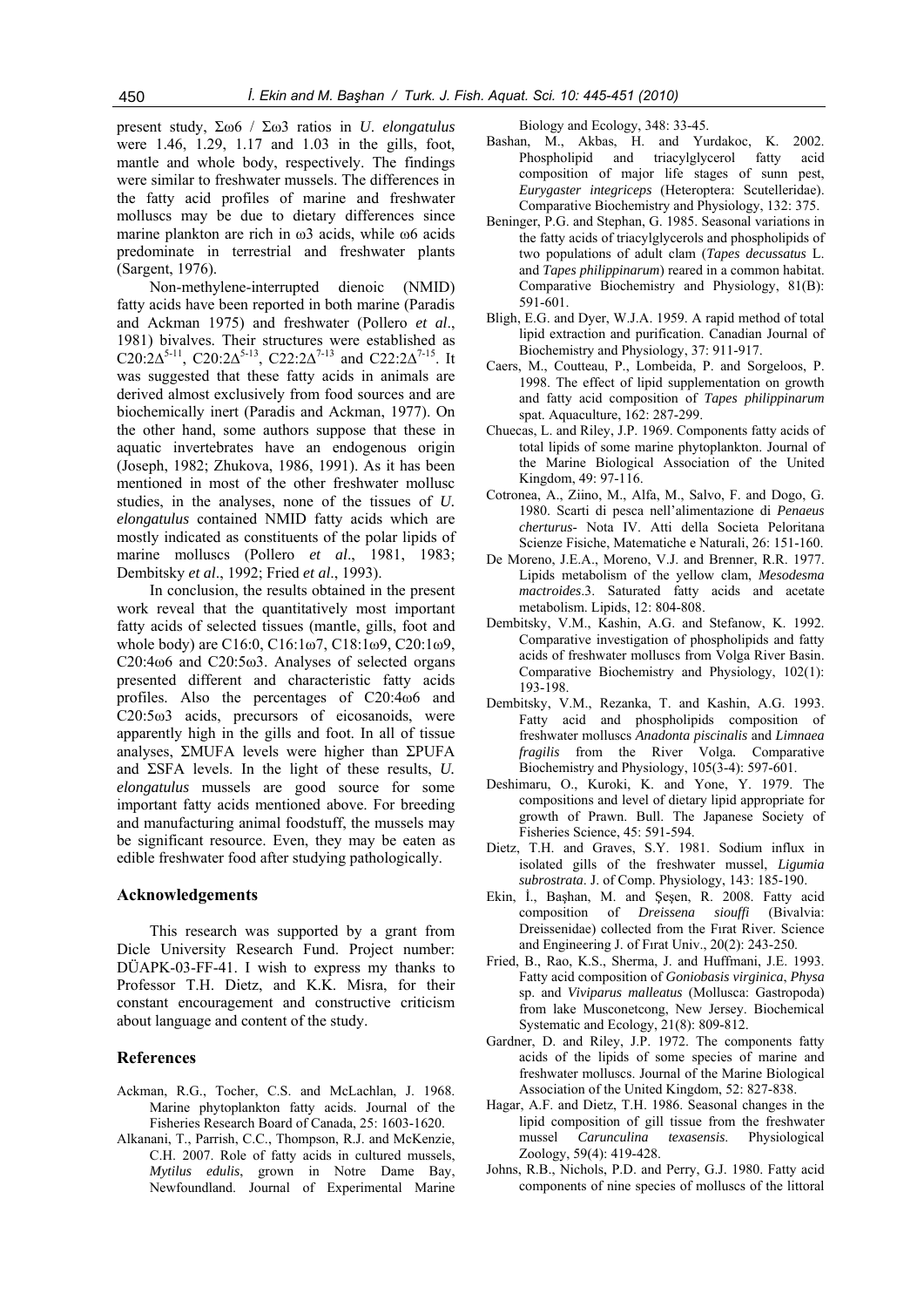present study, Σω6 / Σω3 ratios in *U*. *elongatulus* were 1.46, 1.29, 1.17 and 1.03 in the gills, foot, mantle and whole body, respectively. The findings were similar to freshwater mussels. The differences in the fatty acid profiles of marine and freshwater molluscs may be due to dietary differences since marine plankton are rich in ω3 acids, while ω6 acids predominate in terrestrial and freshwater plants (Sargent, 1976).

Non-methylene-interrupted dienoic (NMID) fatty acids have been reported in both marine (Paradis and Ackman 1975) and freshwater (Pollero *et al*., 1981) bivalves. Their structures were established as C20:2∆<sup>5-11</sup>, C20:2∆<sup>5-13</sup>, C22:2∆<sup>7-13</sup> and C22:2∆<sup>7-15</sup>. It was suggested that these fatty acids in animals are derived almost exclusively from food sources and are biochemically inert (Paradis and Ackman, 1977). On the other hand, some authors suppose that these in aquatic invertebrates have an endogenous origin (Joseph, 1982; Zhukova, 1986, 1991). As it has been mentioned in most of the other freshwater mollusc studies, in the analyses, none of the tissues of *U. elongatulus* contained NMID fatty acids which are mostly indicated as constituents of the polar lipids of marine molluscs (Pollero *et al*., 1981, 1983; Dembitsky *et al*., 1992; Fried *et al*., 1993).

In conclusion, the results obtained in the present work reveal that the quantitatively most important fatty acids of selected tissues (mantle, gills, foot and whole body) are C16:0, C16:1ω7, C18:1ω9, C20:1ω9, C20:4ω6 and C20:5ω3. Analyses of selected organs presented different and characteristic fatty acids profiles. Also the percentages of C20:4ω6 and C20:5ω3 acids, precursors of eicosanoids, were apparently high in the gills and foot. In all of tissue analyses, ΣMUFA levels were higher than ΣPUFA and ΣSFA levels. In the light of these results, *U. elongatulus* mussels are good source for some important fatty acids mentioned above. For breeding and manufacturing animal foodstuff, the mussels may be significant resource. Even, they may be eaten as edible freshwater food after studying pathologically.

#### **Acknowledgements**

This research was supported by a grant from Dicle University Research Fund. Project number: DÜAPK-03-FF-41. I wish to express my thanks to Professor T.H. Dietz, and K.K. Misra, for their constant encouragement and constructive criticism about language and content of the study.

#### **References**

- Ackman, R.G., Tocher, C.S. and McLachlan, J. 1968. Marine phytoplankton fatty acids. Journal of the Fisheries Research Board of Canada, 25: 1603-1620.
- Alkanani, T., Parrish, C.C., Thompson, R.J. and McKenzie, C.H. 2007. Role of fatty acids in cultured mussels, *Mytilus edulis*, grown in Notre Dame Bay, Newfoundland. Journal of Experimental Marine

Biology and Ecology, 348: 33-45.

- Bashan, M., Akbas, H. and Yurdakoc, K. 2002. Phospholipid and triacylglycerol fatty acid composition of major life stages of sunn pest, *Eurygaster integriceps* (Heteroptera: Scutelleridae). Comparative Biochemistry and Physiology, 132: 375.
- Beninger, P.G. and Stephan, G. 1985. Seasonal variations in the fatty acids of triacylglycerols and phospholipids of two populations of adult clam (*Tapes decussatus* L. and *Tapes philippinarum*) reared in a common habitat. Comparative Biochemistry and Physiology, 81(B): 591-601.
- Bligh, E.G. and Dyer, W.J.A. 1959. A rapid method of total lipid extraction and purification. Canadian Journal of Biochemistry and Physiology, 37: 911-917.
- Caers, M., Coutteau, P., Lombeida, P. and Sorgeloos, P. 1998. The effect of lipid supplementation on growth and fatty acid composition of *Tapes philippinarum* spat. Aquaculture, 162: 287-299.
- Chuecas, L. and Riley, J.P. 1969. Components fatty acids of total lipids of some marine phytoplankton. Journal of the Marine Biological Association of the United Kingdom, 49: 97-116.
- Cotronea, A., Ziino, M., Alfa, M., Salvo, F. and Dogo, G. 1980. Scarti di pesca nell'alimentazione di *Penaeus cherturus*- Nota IV. Atti della Societa Peloritana Scienze Fisiche, Matematiche e Naturali, 26: 151-160.
- De Moreno, J.E.A., Moreno, V.J. and Brenner, R.R. 1977. Lipids metabolism of the yellow clam, *Mesodesma mactroides*.3. Saturated fatty acids and acetate metabolism. Lipids, 12: 804-808.
- Dembitsky, V.M., Kashin, A.G. and Stefanow, K. 1992. Comparative investigation of phospholipids and fatty acids of freshwater molluscs from Volga River Basin. Comparative Biochemistry and Physiology, 102(1): 193-198.
- Dembitsky, V.M., Rezanka, T. and Kashin, A.G. 1993. Fatty acid and phospholipids composition of freshwater molluscs *Anadonta piscinalis* and *Limnaea fragilis* from the River Volga*.* Comparative Biochemistry and Physiology, 105(3-4): 597-601.
- Deshimaru, O., Kuroki, K. and Yone, Y. 1979. The compositions and level of dietary lipid appropriate for growth of Prawn. Bull. The Japanese Society of Fisheries Science, 45: 591-594.
- Dietz, T.H. and Graves, S.Y. 1981. Sodium influx in isolated gills of the freshwater mussel, *Ligumia subrostrata*. J. of Comp. Physiology, 143: 185-190.
- Ekin, İ., Başhan, M. and Şeşen, R. 2008. Fatty acid composition of *Dreissena siouffi* (Bivalvia: Dreissenidae) collected from the Fırat River. Science and Engineering J. of Fırat Univ., 20(2): 243-250.
- Fried, B., Rao, K.S., Sherma, J. and Huffmani, J.E. 1993. Fatty acid composition of *Goniobasis virginica*, *Physa*  sp. and *Viviparus malleatus* (Mollusca: Gastropoda) from lake Musconetcong, New Jersey. Biochemical Systematic and Ecology, 21(8): 809-812.
- Gardner, D. and Riley, J.P. 1972. The components fatty acids of the lipids of some species of marine and freshwater molluscs. Journal of the Marine Biological Association of the United Kingdom, 52: 827-838.
- Hagar, A.F. and Dietz, T.H. 1986. Seasonal changes in the lipid composition of gill tissue from the freshwater mussel *Carunculina texasensis*. Physiological Zoology, 59(4): 419-428.
- Johns, R.B., Nichols, P.D. and Perry, G.J. 1980. Fatty acid components of nine species of molluscs of the littoral